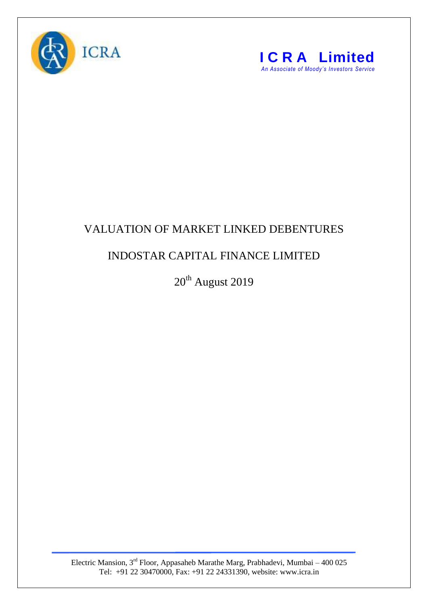



## VALUATION OF MARKET LINKED DEBENTURES

## INDOSTAR CAPITAL FINANCE LIMITED

20<sup>th</sup> August 2019

Electric Mansion, 3<sup>rd</sup> Floor, Appasaheb Marathe Marg, Prabhadevi, Mumbai – 400 025 Tel: +91 22 30470000, Fax: +91 22 24331390, website: www.icra.in